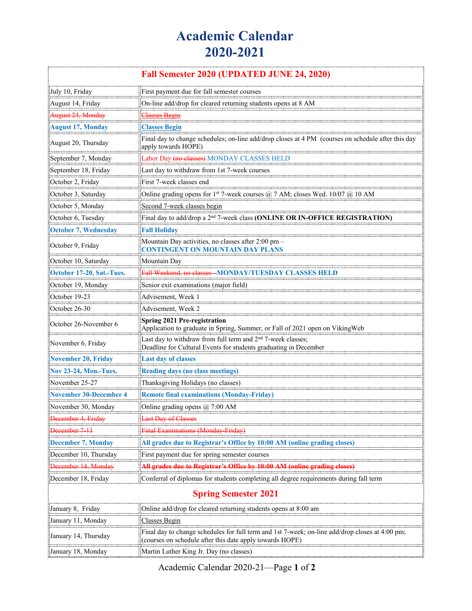## **Academic Calendar 2020-2021**

| Fall Semester 2020 (UPDATED JUNE 24, 2020) |                                                                                                                                                             |
|--------------------------------------------|-------------------------------------------------------------------------------------------------------------------------------------------------------------|
| July 10, Friday                            | First payment due for fall semester courses                                                                                                                 |
| August 14, Friday                          | On-line add/drop for cleared returning students opens at 8 AM                                                                                               |
| August 24, Monday                          | Classes Begin                                                                                                                                               |
| <b>August 17, Monday</b>                   | <b>Classes Begin</b>                                                                                                                                        |
| August 20, Thursday                        | Final day to change schedules; on-line add/drop closes at 4 PM (courses on schedule after this day<br>apply towards HOPE)                                   |
| September 7, Monday                        | Labor Day (no classes) MONDAY CLASSES HELD                                                                                                                  |
| September 18, Friday                       | Last day to withdraw from 1st 7-week courses                                                                                                                |
| October 2, Friday                          | First 7-week classes end                                                                                                                                    |
| October 3, Saturday                        | Online grading opens for 1st 7-week courses $@$ 7 AM; closes Wed. 10/07 $@$ 10 AM                                                                           |
| October 5, Monday                          | Second 7-week classes begin                                                                                                                                 |
| October 6, Tuesday                         | Final day to add/drop a 2 <sup>nd</sup> 7-week class (ONLINE OR IN-OFFICE REGISTRATION)                                                                     |
| <b>October 7, Wednesday</b>                | <b>Fall Holiday</b>                                                                                                                                         |
| October 9, Friday                          | Mountain Day activities, no classes after 2:00 pm -<br>CONTINGENT ON MOUNTAIN DAY PLANS                                                                     |
| October 10, Saturday                       | Mountain Day                                                                                                                                                |
| October 17-20, Sat.-Tues.                  | Fall Weekend, no classes MONDAY/TUESDAY CLASSES HELD                                                                                                        |
| October 19, Monday                         | Senior exit examinations (major field)                                                                                                                      |
| October 19-23                              | Advisement, Week 1                                                                                                                                          |
| October 26-30                              | Advisement, Week 2                                                                                                                                          |
| October 26-November 6                      | Spring 2021 Pre-registration<br>Application to graduate in Spring, Summer, or Fall of 2021 open on VikingWeb                                                |
| November 6, Friday                         | Last day to withdraw from full term and 2 <sup>nd</sup> 7-week classes;<br>Deadline for Cultural Events for students graduating in December                 |
| <b>November 20, Friday</b>                 | <b>Last day of classes</b>                                                                                                                                  |
| <b>Nov 23-24, Mon.-Tues.</b>               | <b>Reading days (no class meetings)</b>                                                                                                                     |
| November 25-27                             | Thanksgiving Holidays (no classes)                                                                                                                          |
| <b>November 30-December 4</b>              | <b>Remote final examinations (Monday-Friday)</b>                                                                                                            |
| November 30, Monday                        | Online grading opens @ 7:00 AM                                                                                                                              |
| December 4, Friday                         | <b>Last Day of Classes</b>                                                                                                                                  |
| December 7-11                              | Final Examinations (Monday-Friday)                                                                                                                          |
| <b>December 7, Monday</b>                  | All grades due to Registrar's Office by 10:00 AM (online grading closes)                                                                                    |
| December 10, Thursday                      | First payment due for spring semester courses                                                                                                               |
| December 14, Monday                        | All grades due to Registrar's Office by 10:00 AM (online grading closes)                                                                                    |
| December 18, Friday                        | Conferral of diplomas for students completing all degree requirements during fall term                                                                      |
| <b>Spring Semester 2021</b>                |                                                                                                                                                             |
| January 8, Friday                          | Online add/drop for cleared returning students opens at 8:00 am                                                                                             |
| January 11, Monday                         | Classes Begin                                                                                                                                               |
| January 14, Thursday                       | Final day to change schedules for full term and 1st 7-week; on-line add/drop closes at 4:00 pm;<br>(courses on schedule after this date apply towards HOPE) |
| January 18, Monday                         | Martin Luther King Jr. Day (no classes)                                                                                                                     |

Academic Calendar 2020-21—Page **1** of **2**